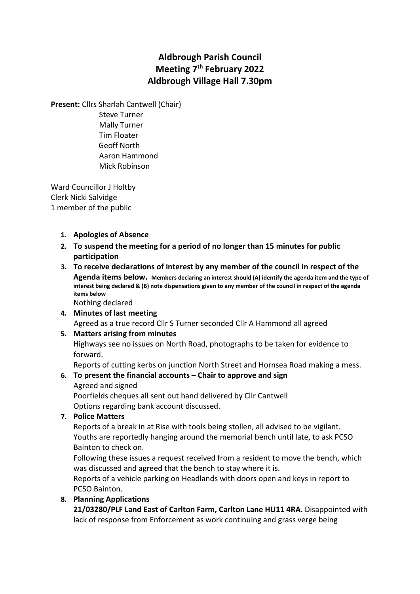# Aldbrough Parish Council Meeting 7<sup>th</sup> February 2022 Aldbrough Village Hall 7.30pm

Present: Cllrs Sharlah Cantwell (Chair)

 Steve Turner Mally Turner Tim Floater Geoff North Aaron Hammond Mick Robinson

Ward Councillor J Holtby Clerk Nicki Salvidge 1 member of the public

### 1. Apologies of Absence

- 2. To suspend the meeting for a period of no longer than 15 minutes for public participation
- 3. To receive declarations of interest by any member of the council in respect of the Agenda items below. Members declaring an interest should (A) identify the agenda item and the type of interest being declared & (B) note dispensations given to any member of the council in respect of the agenda items below

Nothing declared

### 4. Minutes of last meeting

Agreed as a true record Cllr S Turner seconded Cllr A Hammond all agreed

#### 5. Matters arising from minutes

Highways see no issues on North Road, photographs to be taken for evidence to forward.

Reports of cutting kerbs on junction North Street and Hornsea Road making a mess.

### 6. To present the financial accounts – Chair to approve and sign

Agreed and signed

Poorfields cheques all sent out hand delivered by Cllr Cantwell Options regarding bank account discussed.

7. Police Matters

Reports of a break in at Rise with tools being stollen, all advised to be vigilant. Youths are reportedly hanging around the memorial bench until late, to ask PCSO Bainton to check on.

Following these issues a request received from a resident to move the bench, which was discussed and agreed that the bench to stay where it is.

Reports of a vehicle parking on Headlands with doors open and keys in report to PCSO Bainton.

### 8. Planning Applications

21/03280/PLF Land East of Carlton Farm, Carlton Lane HU11 4RA. Disappointed with lack of response from Enforcement as work continuing and grass verge being